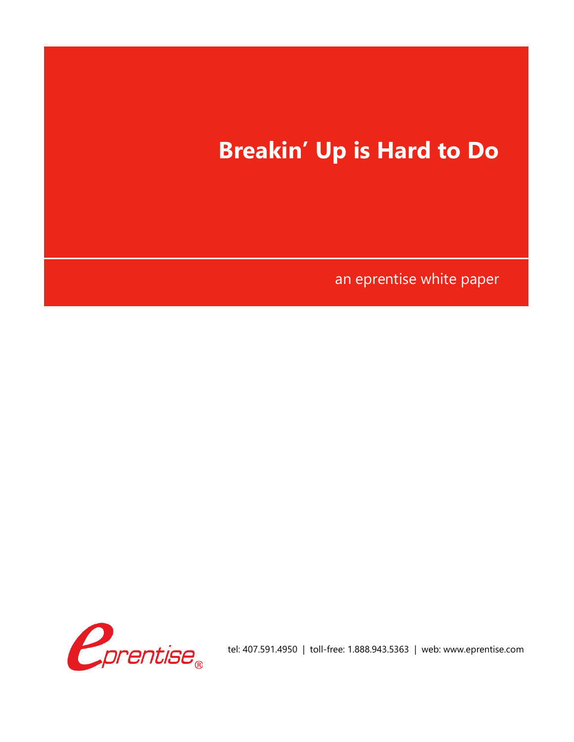

an eprentise white paper

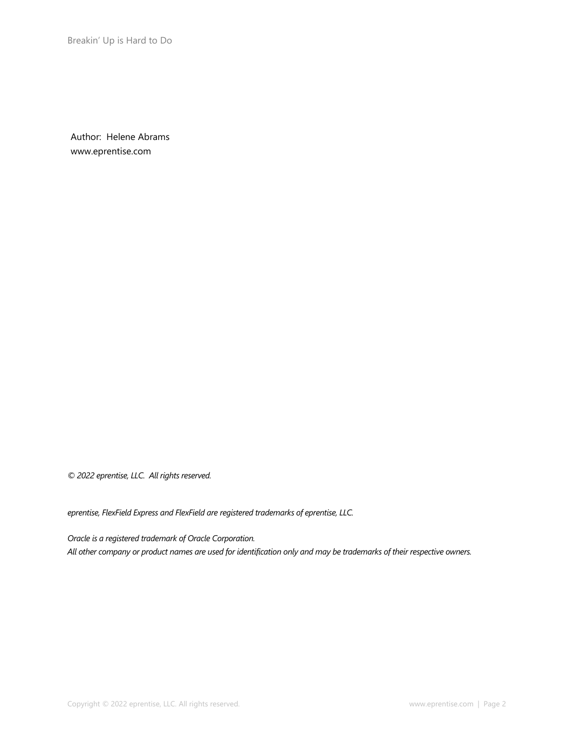Author: Helene Abrams www.eprentise.com

*© 2022 eprentise, LLC. All rights reserved.*

*eprentise, FlexField Express and FlexField are registered trademarks of eprentise, LLC.*

*Oracle is a registered trademark of Oracle Corporation. All other company or product names are used for identification only and may be trademarks of their respective owners.*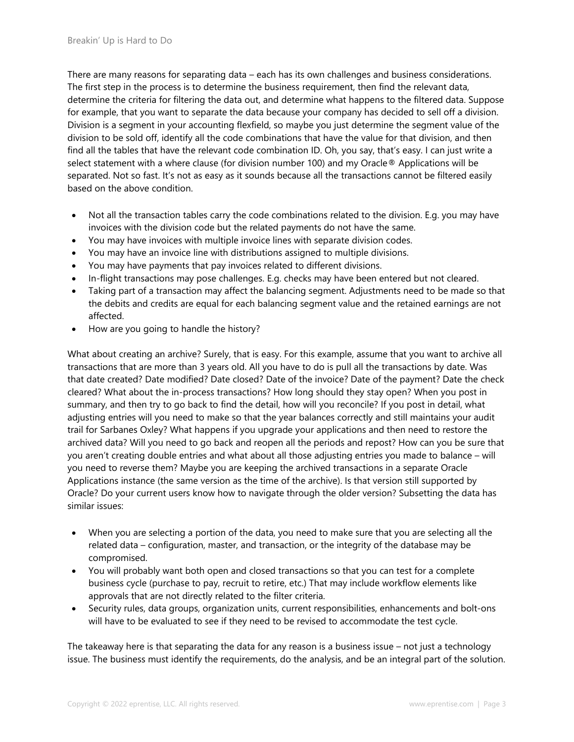There are many reasons for separating data – each has its own challenges and business considerations. The first step in the process is to determine the business requirement, then find the relevant data, determine the criteria for filtering the data out, and determine what happens to the filtered data. Suppose for example, that you want to separate the data because your company has decided to sell off a division. Division is a segment in your accounting flexfield, so maybe you just determine the segment value of the division to be sold off, identify all the code combinations that have the value for that division, and then find all the tables that have the relevant code combination ID. Oh, you say, that's easy. I can just write a select statement with a where clause (for division number 100) and my Oracle® Applications will be separated. Not so fast. It's not as easy as it sounds because all the transactions cannot be filtered easily based on the above condition.

- Not all the transaction tables carry the code combinations related to the division. E.g. you may have invoices with the division code but the related payments do not have the same.
- You may have invoices with multiple invoice lines with separate division codes.
- You may have an invoice line with distributions assigned to multiple divisions.
- You may have payments that pay invoices related to different divisions.
- In-flight transactions may pose challenges. E.g. checks may have been entered but not cleared.
- Taking part of a transaction may affect the balancing segment. Adjustments need to be made so that the debits and credits are equal for each balancing segment value and the retained earnings are not affected.
- How are you going to handle the history?

What about creating an archive? Surely, that is easy. For this example, assume that you want to archive all transactions that are more than 3 years old. All you have to do is pull all the transactions by date. Was that date created? Date modified? Date closed? Date of the invoice? Date of the payment? Date the check cleared? What about the in-process transactions? How long should they stay open? When you post in summary, and then try to go back to find the detail, how will you reconcile? If you post in detail, what adjusting entries will you need to make so that the year balances correctly and still maintains your audit trail for Sarbanes Oxley? What happens if you upgrade your applications and then need to restore the archived data? Will you need to go back and reopen all the periods and repost? How can you be sure that you aren't creating double entries and what about all those adjusting entries you made to balance – will you need to reverse them? Maybe you are keeping the archived transactions in a separate Oracle Applications instance (the same version as the time of the archive). Is that version still supported by Oracle? Do your current users know how to navigate through the older version? Subsetting the data has similar issues:

- When you are selecting a portion of the data, you need to make sure that you are selecting all the related data – configuration, master, and transaction, or the integrity of the database may be compromised.
- You will probably want both open and closed transactions so that you can test for a complete business cycle (purchase to pay, recruit to retire, etc.) That may include workflow elements like approvals that are not directly related to the filter criteria.
- Security rules, data groups, organization units, current responsibilities, enhancements and bolt-ons will have to be evaluated to see if they need to be revised to accommodate the test cycle.

The takeaway here is that separating the data for any reason is a business issue – not just a technology issue. The business must identify the requirements, do the analysis, and be an integral part of the solution.